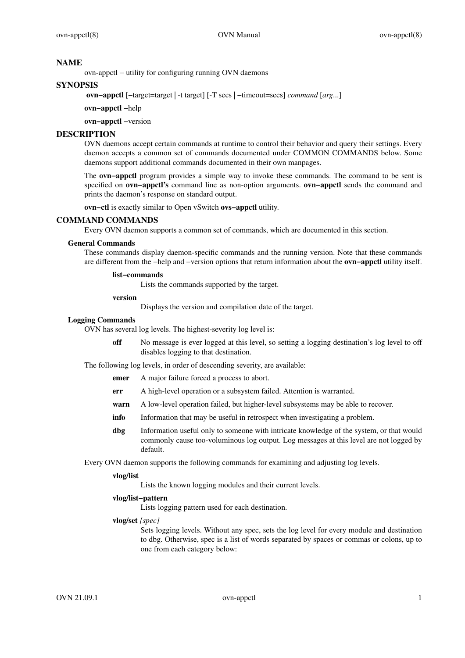#### **NAME**

ovn-appctl − utility for configuring running OVN daemons

## **SYNOPSIS**

**ovn−appctl** [−target=target | -t target] [-T secs | −timeout=secs] *command* [*arg*...]

**ovn−appctl** −help

**ovn−appctl** −version

## **DESCRIPTION**

OVN daemons accept certain commands at runtime to control their behavior and query their settings. Every daemon accepts a common set of commands documented under COMMON COMMANDS below. Some daemons support additional commands documented in their own manpages.

The **ovn−appctl** program provides a simple way to invoke these commands. The command to be sent is specified on **ovn−appctl's** command line as non-option arguments. **ovn−appctl** sends the command and prints the daemon's response on standard output.

**ovn−ctl** is exactly similar to Open vSwitch **ovs−appctl** utility.

# **COMMAND COMMANDS**

Every OVN daemon supports a common set of commands, which are documented in this section.

## **General Commands**

These commands display daemon-specific commands and the running version. Note that these commands are different from the −help and −version options that return information about the **ovn−appctl** utility itself.

## **list−commands**

Lists the commands supported by the target.

#### **version**

Displays the version and compilation date of the target.

## **Logging Commands**

OVN has several log levels. The highest-severity log level is:

**off** No message is ever logged at this level, so setting a logging destination's log level to off disables logging to that destination.

The following log levels, in order of descending severity, are available:

- **emer** A major failure forced a process to abort.
- **err** A high-level operation or a subsystem failed. Attention is warranted.
- **warn** A low-level operation failed, but higher-level subsystems may be able to recover.
- **info** Information that may be useful in retrospect when investigating a problem.
- **dbg** Information useful only to someone with intricate knowledge of the system, or that would commonly cause too-voluminous log output. Log messages at this level are not logged by default.

Every OVN daemon supports the following commands for examining and adjusting log levels.

#### **vlog/list**

Lists the known logging modules and their current levels.

## **vlog/list−pattern**

Lists logging pattern used for each destination.

## **vlog/set** *[spec]*

Sets logging levels. Without any spec, sets the log level for every module and destination to dbg. Otherwise, spec is a list of words separated by spaces or commas or colons, up to one from each category below: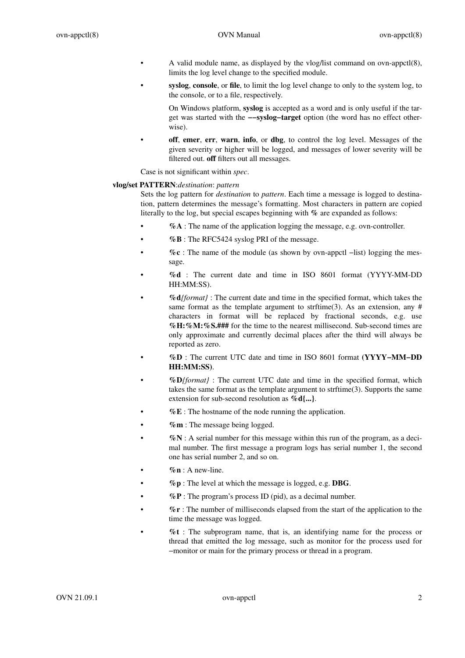- A valid module name, as displayed by the vlog/list command on ovn-appctl(8), limits the log level change to the specified module.
- **syslog**, **console**, or **file**, to limit the log level change to only to the system log, to the console, or to a file, respectively.

On Windows platform, **syslog** is accepted as a word and is only useful if the target was started with the **−−syslog−target** option (the word has no effect otherwise).

• **off**, **emer**, **err**, **warn**, **info**, or **dbg**, to control the log level. Messages of the given severity or higher will be logged, and messages of lower severity will be filtered out. **off** filters out all messages.

Case is not significant within *spec*.

## **vlog/set PATTERN**:*destination*: *pattern*

Sets the log pattern for *destination* to *pattern*. Each time a message is logged to destination, pattern determines the message's formatting. Most characters in pattern are copied literally to the log, but special escapes beginning with **%** are expanded as follows:

- **%A** : The name of the application logging the message, e.g. ovn-controller.
- **%B** : The RFC5424 syslog PRI of the message.
- **%c** : The name of the module (as shown by ovn-appctl −list) logging the message.
- **%d** : The current date and time in ISO 8601 format (YYYY-MM-DD HH:MM:SS).
- **%d***{format}* : The current date and time in the specified format, which takes the same format as the template argument to strftime(3). As an extension, any  $#$ characters in format will be replaced by fractional seconds, e.g. use **%H:%M:%S.###** for the time to the nearest millisecond. Sub-second times are only approximate and currently decimal places after the third will always be reported as zero.
- **%D** : The current UTC date and time in ISO 8601 format **(YYYY−MM−DD HH:MM:SS)**.
- **%D***{format}* : The current UTC date and time in the specified format, which takes the same format as the template argument to strftime(3). Supports the same extension for sub-second resolution as **%d{...}**.
- **%E** : The hostname of the node running the application.
- **%m** : The message being logged.
- **%N** :Aserial number for this message within this run of the program, as a decimal number. The first message a program logs has serial number 1, the second one has serial number 2, and so on.
- $\%$ **n** : A new-line.
- **%p** : The level at which the message is logged, e.g. **DBG**.
- $\%$ **P** : The program's process ID (pid), as a decimal number.
- **%r** : The number of milliseconds elapsed from the start of the application to the time the message was logged.
- **%t** : The subprogram name, that is, an identifying name for the process or thread that emitted the log message, such as monitor for the process used for −monitor or main for the primary process or thread in a program.